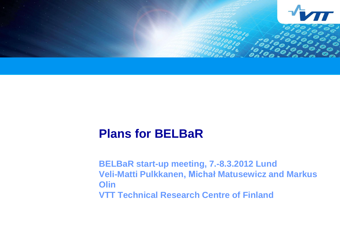

# **Plans for BELBaR**

**BELBaR start-up meeting, 7.-8.3.2012 Lund Veli-Matti Pulkkanen, Michał Matusewicz and Markus Olin VTT Technical Research Centre of Finland**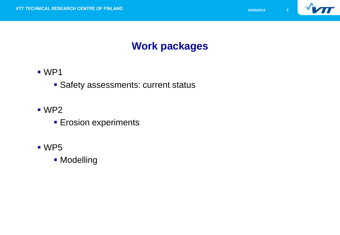

## **Work packages**

- WP1
	- **Safety assessments: current status**
- WP2
	- **Erosion experiments**
- WP5
	- **Modelling**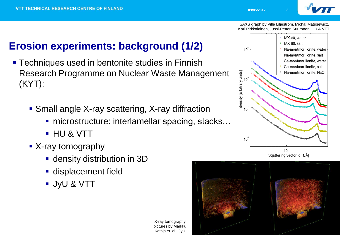

SAXS graph by Ville Liljeström, Michal Matusewicz, Kari Pirkkalainen, Jussi-Petteri Suuronen, HU & VTT

# **Erosion experiments: background (1/2)**

- **Techniques used in bentonite studies in Finnish** Research Programme on Nuclear Waste Management (KYT):
	- Small angle X-ray scattering, X-ray diffraction
		- microstructure: interlamellar spacing, stacks...
		- HU & VTT
	- X-ray tomography
		- density distribution in 3D
		- **displacement field**
		- JyU & VTT

X-ray tomography pictures by Markku Kataja et. al., JyU



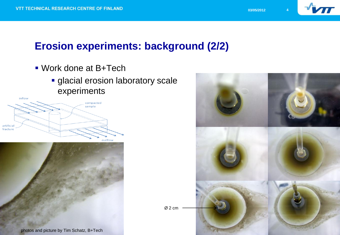

### **Erosion experiments: background (2/2)**

- Work done at B+Tech
	- **glacial erosion laboratory scale** experiments





photos and picture by Tim Schatz, B+Tech

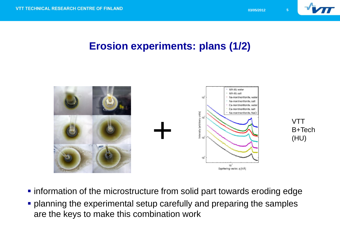

#### **Erosion experiments: plans (1/2)**



- **Information of the microstructure from solid part towards eroding edge**
- **planning the experimental setup carefully and preparing the samples** are the keys to make this combination work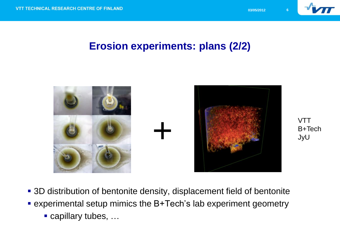

**VTT** 

JyU

B+Tech

#### **Erosion experiments: plans (2/2)**



3D distribution of bentonite density, displacement field of bentonite

- experimental setup mimics the B+Tech's lab experiment geometry
	- capillary tubes, ...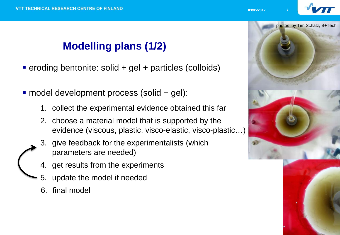# **Modelling plans (1/2)**

- eroding bentonite: solid + gel + particles (colloids)
- model development process (solid + gel):
	- 1. collect the experimental evidence obtained this far
	- 2. choose a material model that is supported by the evidence (viscous, plastic, visco-elastic, visco-plastic…)
	- 3. give feedback for the experimentalists (which parameters are needed)
	- 4. get results from the experiments
	- 5. update the model if needed
	- 6. final model



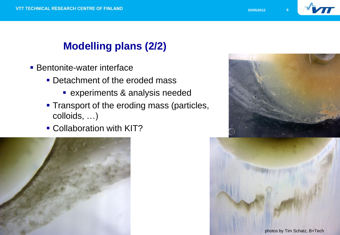

# **Modelling plans (2/2)**

- **Bentonite-water interface** 
	- **Detachment of the eroded mass** 
		- **Experiments & analysis needed**
	- **Transport of the eroding mass (particles,** colloids, …)
	- **Collaboration with KIT?**